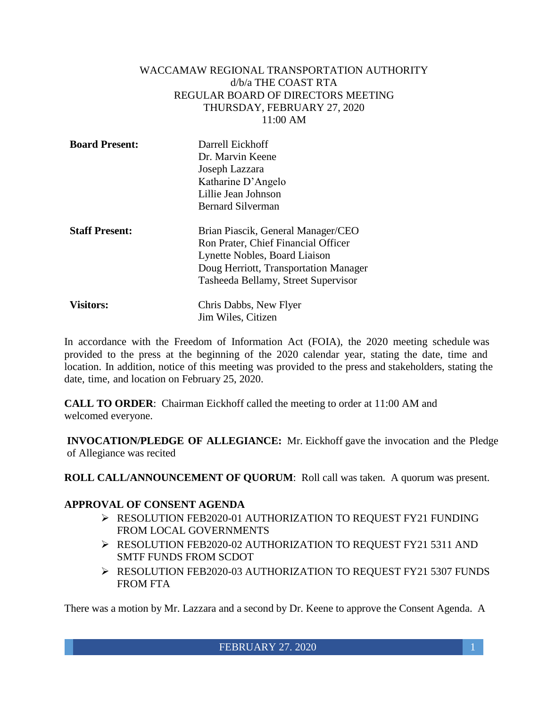#### WACCAMAW REGIONAL TRANSPORTATION AUTHORITY d/b/a THE COAST RTA REGULAR BOARD OF DIRECTORS MEETING THURSDAY, FEBRUARY 27, 2020 11:00 AM

| <b>Board Present:</b> | Darrell Eickhoff<br>Dr. Marvin Keene<br>Joseph Lazzara<br>Katharine D'Angelo<br>Lillie Jean Johnson<br><b>Bernard Silverman</b>                                                            |
|-----------------------|--------------------------------------------------------------------------------------------------------------------------------------------------------------------------------------------|
| <b>Staff Present:</b> | Brian Piascik, General Manager/CEO<br>Ron Prater, Chief Financial Officer<br>Lynette Nobles, Board Liaison<br>Doug Herriott, Transportation Manager<br>Tasheeda Bellamy, Street Supervisor |
|                       |                                                                                                                                                                                            |

| <b>Visitors:</b> | Chris Dabbs, New Flyer |
|------------------|------------------------|
|                  | Jim Wiles, Citizen     |

In accordance with the Freedom of Information Act (FOIA), the 2020 meeting schedule was provided to the press at the beginning of the 2020 calendar year, stating the date, time and location. In addition, notice of this meeting was provided to the press and stakeholders, stating the date, time, and location on February 25, 2020.

**CALL TO ORDER**: Chairman Eickhoff called the meeting to order at 11:00 AM and welcomed everyone.

**INVOCATION/PLEDGE OF ALLEGIANCE:** Mr. Eickhoff gave the invocation and the Pledge of Allegiance was recited

**ROLL CALL/ANNOUNCEMENT OF QUORUM**: Roll call was taken. A quorum was present.

## **APPROVAL OF CONSENT AGENDA**

- RESOLUTION FEB2020-01 AUTHORIZATION TO REQUEST FY21 FUNDING FROM LOCAL GOVERNMENTS
- P RESOLUTION FEB2020-02 AUTHORIZATION TO REQUEST FY21 5311 AND SMTF FUNDS FROM SCDOT
- RESOLUTION FEB2020-03 AUTHORIZATION TO REQUEST FY21 5307 FUNDS FROM FTA

There was a motion by Mr. Lazzara and a second by Dr. Keene to approve the Consent Agenda. A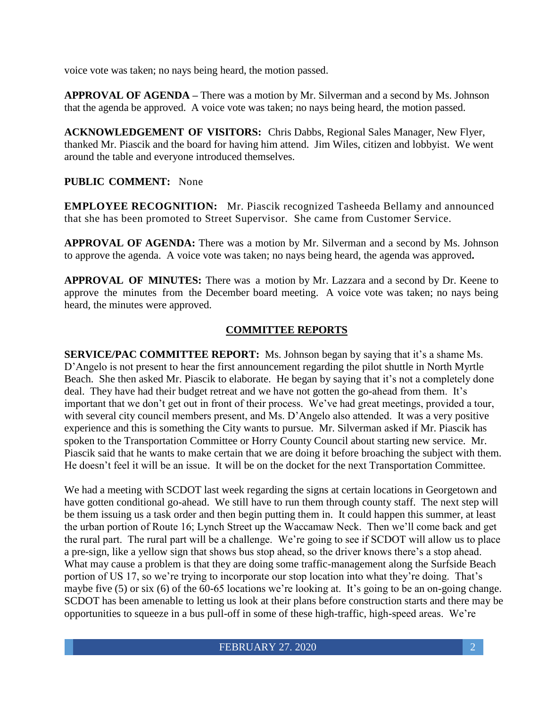voice vote was taken; no nays being heard, the motion passed.

**APPROVAL OF AGENDA –** There was a motion by Mr. Silverman and a second by Ms. Johnson that the agenda be approved. A voice vote was taken; no nays being heard, the motion passed.

**ACKNOWLEDGEMENT OF VISITORS:** Chris Dabbs, Regional Sales Manager, New Flyer, thanked Mr. Piascik and the board for having him attend. Jim Wiles, citizen and lobbyist. We went around the table and everyone introduced themselves.

## **PUBLIC COMMENT:** None

**EMPLOYEE RECOGNITION:** Mr. Piascik recognized Tasheeda Bellamy and announced that she has been promoted to Street Supervisor. She came from Customer Service.

**APPROVAL OF AGENDA:** There was a motion by Mr. Silverman and a second by Ms. Johnson to approve the agenda. A voice vote was taken; no nays being heard, the agenda was approved**.**

**APPROVAL OF MINUTES:** There was a motion by Mr. Lazzara and a second by Dr. Keene to approve the minutes from the December board meeting. A voice vote was taken; no nays being heard, the minutes were approved.

### **COMMITTEE REPORTS**

**SERVICE/PAC COMMITTEE REPORT:** Ms. Johnson began by saying that it's a shame Ms. D'Angelo is not present to hear the first announcement regarding the pilot shuttle in North Myrtle Beach. She then asked Mr. Piascik to elaborate. He began by saying that it's not a completely done deal. They have had their budget retreat and we have not gotten the go-ahead from them. It's important that we don't get out in front of their process. We've had great meetings, provided a tour, with several city council members present, and Ms. D'Angelo also attended. It was a very positive experience and this is something the City wants to pursue. Mr. Silverman asked if Mr. Piascik has spoken to the Transportation Committee or Horry County Council about starting new service. Mr. Piascik said that he wants to make certain that we are doing it before broaching the subject with them. He doesn't feel it will be an issue. It will be on the docket for the next Transportation Committee.

We had a meeting with SCDOT last week regarding the signs at certain locations in Georgetown and have gotten conditional go-ahead. We still have to run them through county staff. The next step will be them issuing us a task order and then begin putting them in. It could happen this summer, at least the urban portion of Route 16; Lynch Street up the Waccamaw Neck. Then we'll come back and get the rural part. The rural part will be a challenge. We're going to see if SCDOT will allow us to place a pre-sign, like a yellow sign that shows bus stop ahead, so the driver knows there's a stop ahead. What may cause a problem is that they are doing some traffic-management along the Surfside Beach portion of US 17, so we're trying to incorporate our stop location into what they're doing. That's maybe five (5) or six (6) of the 60-65 locations we're looking at. It's going to be an on-going change. SCDOT has been amenable to letting us look at their plans before construction starts and there may be opportunities to squeeze in a bus pull-off in some of these high-traffic, high-speed areas. We're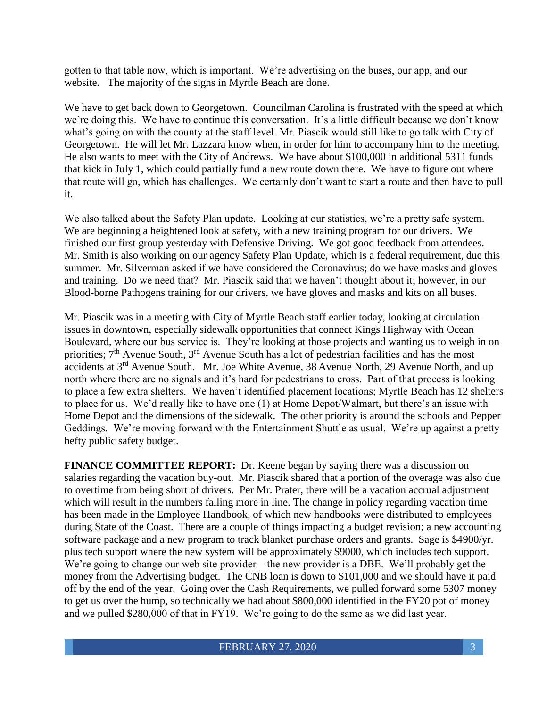gotten to that table now, which is important. We're advertising on the buses, our app, and our website. The majority of the signs in Myrtle Beach are done.

We have to get back down to Georgetown. Councilman Carolina is frustrated with the speed at which we're doing this. We have to continue this conversation. It's a little difficult because we don't know what's going on with the county at the staff level. Mr. Piascik would still like to go talk with City of Georgetown. He will let Mr. Lazzara know when, in order for him to accompany him to the meeting. He also wants to meet with the City of Andrews. We have about \$100,000 in additional 5311 funds that kick in July 1, which could partially fund a new route down there. We have to figure out where that route will go, which has challenges. We certainly don't want to start a route and then have to pull it.

We also talked about the Safety Plan update. Looking at our statistics, we're a pretty safe system. We are beginning a heightened look at safety, with a new training program for our drivers. We finished our first group yesterday with Defensive Driving. We got good feedback from attendees. Mr. Smith is also working on our agency Safety Plan Update, which is a federal requirement, due this summer. Mr. Silverman asked if we have considered the Coronavirus; do we have masks and gloves and training. Do we need that? Mr. Piascik said that we haven't thought about it; however, in our Blood-borne Pathogens training for our drivers, we have gloves and masks and kits on all buses.

Mr. Piascik was in a meeting with City of Myrtle Beach staff earlier today, looking at circulation issues in downtown, especially sidewalk opportunities that connect Kings Highway with Ocean Boulevard, where our bus service is. They're looking at those projects and wanting us to weigh in on priorities; 7<sup>th</sup> Avenue South, 3<sup>rd</sup> Avenue South has a lot of pedestrian facilities and has the most accidents at 3rd Avenue South. Mr. Joe White Avenue, 38 Avenue North, 29 Avenue North, and up north where there are no signals and it's hard for pedestrians to cross. Part of that process is looking to place a few extra shelters. We haven't identified placement locations; Myrtle Beach has 12 shelters to place for us. We'd really like to have one (1) at Home Depot/Walmart, but there's an issue with Home Depot and the dimensions of the sidewalk. The other priority is around the schools and Pepper Geddings. We're moving forward with the Entertainment Shuttle as usual. We're up against a pretty hefty public safety budget.

**FINANCE COMMITTEE REPORT:** Dr. Keene began by saying there was a discussion on salaries regarding the vacation buy-out. Mr. Piascik shared that a portion of the overage was also due to overtime from being short of drivers. Per Mr. Prater, there will be a vacation accrual adjustment which will result in the numbers falling more in line. The change in policy regarding vacation time has been made in the Employee Handbook, of which new handbooks were distributed to employees during State of the Coast. There are a couple of things impacting a budget revision; a new accounting software package and a new program to track blanket purchase orders and grants. Sage is \$4900/yr. plus tech support where the new system will be approximately \$9000, which includes tech support. We're going to change our web site provider – the new provider is a DBE. We'll probably get the money from the Advertising budget. The CNB loan is down to \$101,000 and we should have it paid off by the end of the year. Going over the Cash Requirements, we pulled forward some 5307 money to get us over the hump, so technically we had about \$800,000 identified in the FY20 pot of money and we pulled \$280,000 of that in FY19. We're going to do the same as we did last year.